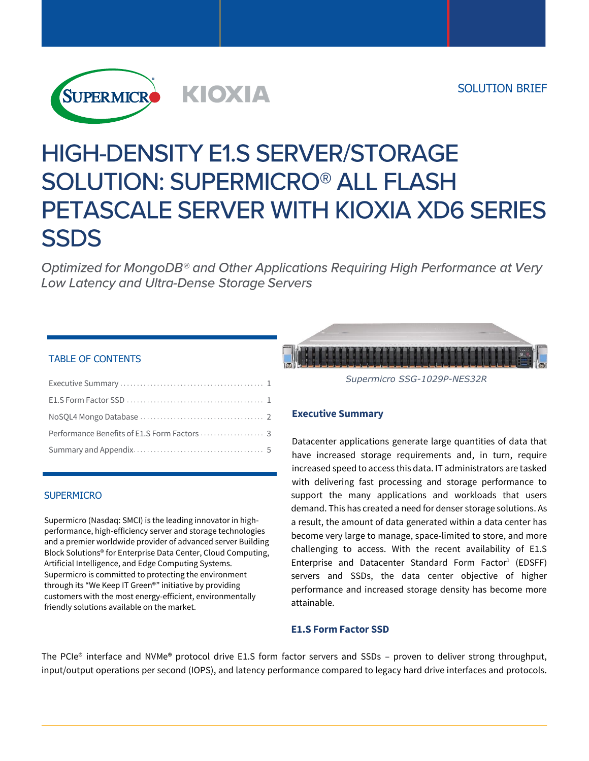

# **HIGH-DENSITY E1.S SERVER/STORAGE SOLUTION: SUPERMICRO® ALL FLASH** PETASCALE SERVER WITH KIOXIA XD6 SERIES **SSDS**

Optimized for MongoDB® and Other Applications Requiring High Performance at Very Low Latency and Ultra-Dense Storage Servers

# TABLE OF CONTENTS

# **SUPERMICRO**

Supermicro (Nasdaq: SMCI) is the leading innovator in highperformance, high-efficiency server and storage technologies and a premier worldwide provider of advanced server Building Block Solutions® for Enterprise Data Center, Cloud Computing, Artificial Intelligence, and Edge Computing Systems. Supermicro is committed to protecting the environment through its "We Keep IT Green®" initiative by providing customers with the most energy-efficient, environmentally friendly solutions available on the market.

*Supermicro SSG-1029P-NES32R*

# **Executive Summary**

Datacenter applications generate large quantities of data that have increased storage requirements and, in turn, require increased speed to access this data. IT administrators are tasked with delivering fast processing and storage performance to support the many applications and workloads that users demand. This has created a need for denser storage solutions. As a result, the amount of data generated within a data center has become very large to manage, space-limited to store, and more challenging to access. With the recent availability of E1.S Enterprise and Datacenter Standard Form Factor<sup>1</sup> (EDSFF) servers and SSDs, the data center objective of higher performance and increased storage density has become more attainable.

# **E1.S Form Factor SSD**

The PCIe® interface and NVMe® protocol drive E1.S form factor servers and SSDs – proven to deliver strong throughput, input/output operations per second (IOPS), and latency performance compared to legacy hard drive interfaces and protocols.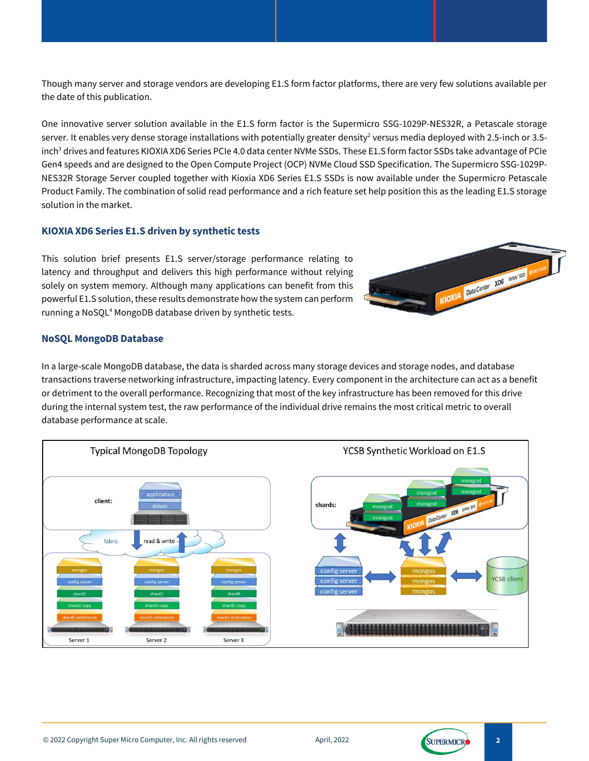Though many server and storage vendors are developing E1.S form factor platforms, there are very few solutions available per the date of this publication.

One innovative server solution available in the E1.S form factor is the Supermicro SSG-1029P-NES32R, a Petascale storage server. It enables very dense storage installations with potentially greater density<sup>2</sup> versus media deployed with 2.5-inch or 3.5inch<sup>3</sup> drives and features KIOXIA XD6 Series PCIe 4.0 data center NVMe SSDs. These E1.S form factor SSDs take advantage of PCIe Gen4 speeds and are designed to the Open Compute Project (OCP) NVMe Cloud SSD Specification. The Supermicro SSG-1029P-NES32R Storage Server coupled together with Kioxia XD6 Series E1.S SSDs is now available under the Supermicro Petascale Product Family. The combination of solid read performance and a rich feature set help position this as the leading E1.S storage solution in the market.

## **KIOXIA XD6 Series E1.S driven by synthetic tests**

This solution brief presents E1.S server/storage performance relating to latency and throughput and delivers this high performance without relying solely on system memory. Although many applications can benefit from this powerful E1.S solution, these results demonstrate how the system can perform running a NoSQL<sup>4</sup> MongoDB database driven by synthetic tests.



# **NoSQL MongoDB Database**

In a large-scale MongoDB database, the data is sharded across many storage devices and storage nodes, and database transactions traverse networking infrastructure, impacting latency. Every component in the architecture can act as a benefit or detriment to the overall performance. Recognizing that most of the key infrastructure has been removed for this drive during the internal system test, the raw performance of the individual drive remains the most critical metric to overall database performance at scale.



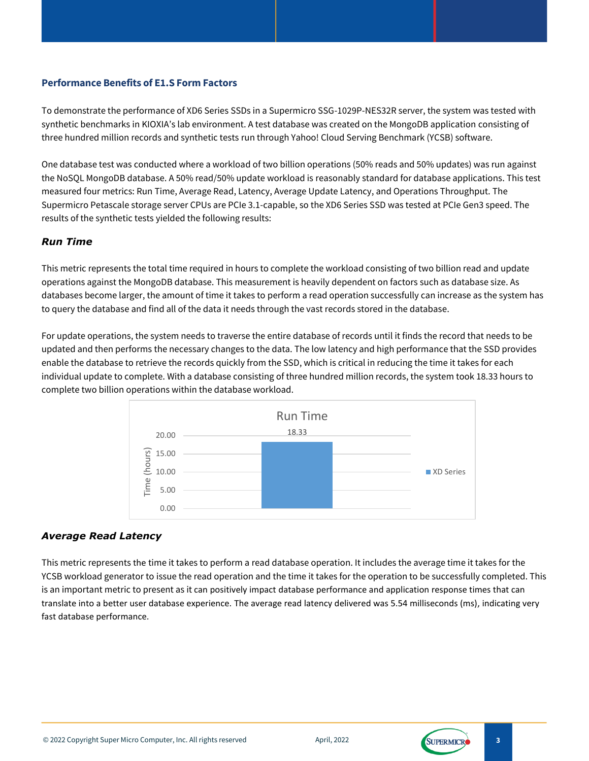# **Performance Benefits of E1.S Form Factors**

To demonstrate the performance of XD6 Series SSDs in a Supermicro SSG-1029P-NES32R server, the system was tested with synthetic benchmarks in KIOXIA's lab environment. A test database was created on the MongoDB application consisting of three hundred million records and synthetic tests run through Yahoo! Cloud Serving Benchmark (YCSB) software.

One database test was conducted where a workload of two billion operations (50% reads and 50% updates) was run against the NoSQL MongoDB database. A 50% read/50% update workload is reasonably standard for database applications. This test measured four metrics: Run Time, Average Read, Latency, Average Update Latency, and Operations Throughput. The Supermicro Petascale storage server CPUs are PCIe 3.1-capable, so the XD6 Series SSD was tested at PCIe Gen3 speed. The results of the synthetic tests yielded the following results:

# *Run Time*

This metric represents the total time required in hours to complete the workload consisting of two billion read and update operations against the MongoDB database. This measurement is heavily dependent on factors such as database size. As databases become larger, the amount of time it takes to perform a read operation successfully can increase as the system has to query the database and find all of the data it needs through the vast records stored in the database.

For update operations, the system needs to traverse the entire database of records until it finds the record that needs to be updated and then performs the necessary changes to the data. The low latency and high performance that the SSD provides enable the database to retrieve the records quickly from the SSD, which is critical in reducing the time it takes for each individual update to complete. With a database consisting of three hundred million records, the system took 18.33 hours to complete two billion operations within the database workload.



# *Average Read Latency*

This metric represents the time it takes to perform a read database operation. It includes the average time it takes for the YCSB workload generator to issue the read operation and the time it takes for the operation to be successfully completed. This is an important metric to present as it can positively impact database performance and application response times that can translate into a better user database experience. The average read latency delivered was 5.54 milliseconds (ms), indicating very fast database performance.

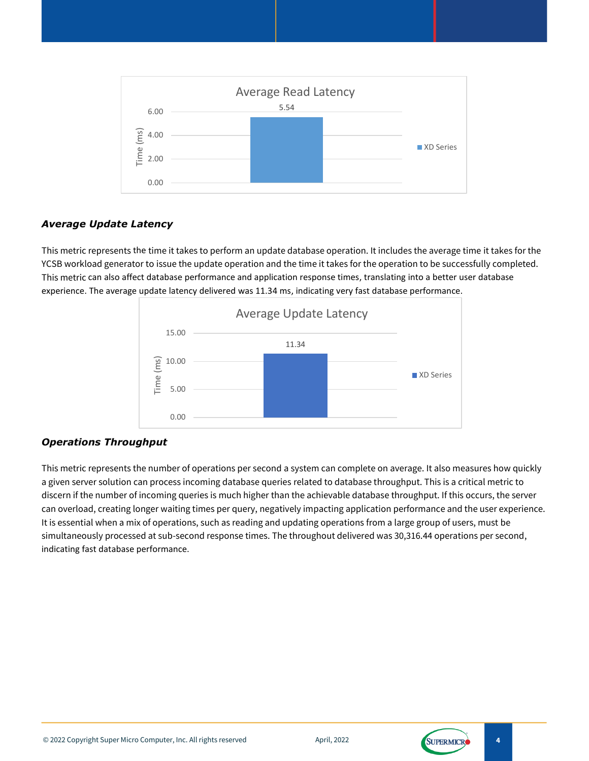

# *Average Update Latency*

This metric represents the time it takes to perform an update database operation. It includes the average time it takes for the YCSB workload generator to issue the update operation and the time it takes for the operation to be successfully completed. This metric can also affect database performance and application response times, translating into a better user database experience. The average update latency delivered was 11.34 ms, indicating very fast database performance.



# *Operations Throughput*

This metric represents the number of operations per second a system can complete on average. It also measures how quickly a given server solution can process incoming database queries related to database throughput. This is a critical metric to discern if the number of incoming queries is much higher than the achievable database throughput. If this occurs, the server can overload, creating longer waiting times per query, negatively impacting application performance and the user experience. It is essential when a mix of operations, such as reading and updating operations from a large group of users, must be simultaneously processed at sub-second response times. The throughout delivered was 30,316.44 operations per second, indicating fast database performance.

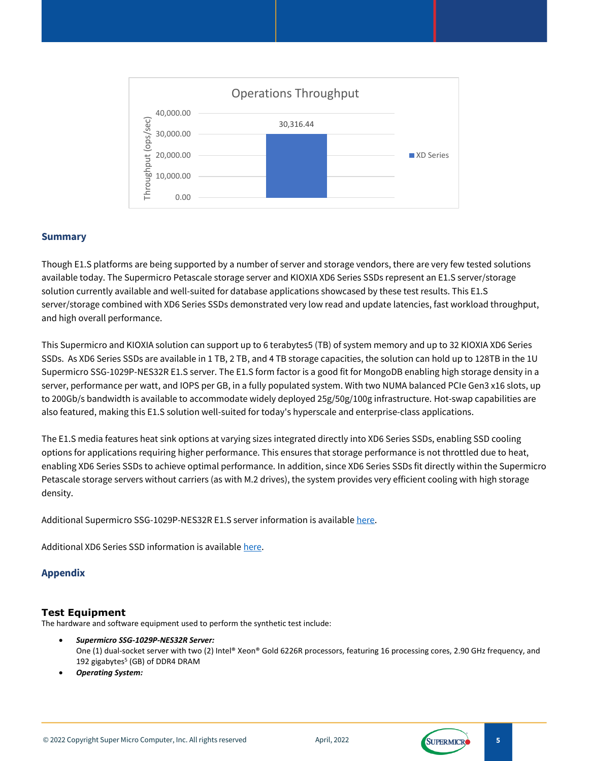

## **Summary**

Though E1.S platforms are being supported by a number of server and storage vendors, there are very few tested solutions available today. The Supermicro Petascale storage server and KIOXIA XD6 Series SSDs represent an E1.S server/storage solution currently available and well-suited for database applications showcased by these test results. This E1.S server/storage combined with XD6 Series SSDs demonstrated very low read and update latencies, fast workload throughput, and high overall performance.

This Supermicro and KIOXIA solution can support up to 6 terabytes5 (TB) of system memory and up to 32 KIOXIA XD6 Series SSDs. As XD6 Series SSDs are available in 1 TB, 2 TB, and 4 TB storage capacities, the solution can hold up to 128TB in the 1U Supermicro SSG-1029P-NES32R E1.S server. The E1.S form factor is a good fit for MongoDB enabling high storage density in a server, performance per watt, and IOPS per GB, in a fully populated system. With two NUMA balanced PCIe Gen3 x16 slots, up to 200Gb/s bandwidth is available to accommodate widely deployed 25g/50g/100g infrastructure. Hot-swap capabilities are also featured, making this E1.S solution well-suited for today's hyperscale and enterprise-class applications.

The E1.S media features heat sink options at varying sizes integrated directly into XD6 Series SSDs, enabling SSD cooling options for applications requiring higher performance. This ensures that storage performance is not throttled due to heat, enabling XD6 Series SSDs to achieve optimal performance. In addition, since XD6 Series SSDs fit directly within the Supermicro Petascale storage servers without carriers (as with M.2 drives), the system provides very efficient cooling with high storage density.

Additional Supermicro SSG-1029P-NES32R E1.S server information is available [here.](https://www.supermicro.com/en/products/system/1U/1029/SSG-1029P-NES32R.cfm)

Additional XD6 Series SSD information is available [here.](https://business.kioxia.com/en-us/ssd/data-center-ssd.html)

#### **Appendix**

#### **Test Equipment**

The hardware and software equipment used to perform the synthetic test include:

- *Supermicro SSG-1029P-NES32R Server:* One (1) dual-socket server with two (2) Intel® Xeon® Gold 6226R processors, featuring 16 processing cores, 2.90 GHz frequency, and 192 gigabytes<sup>5</sup> (GB) of DDR4 DRAM
- *Operating System:*

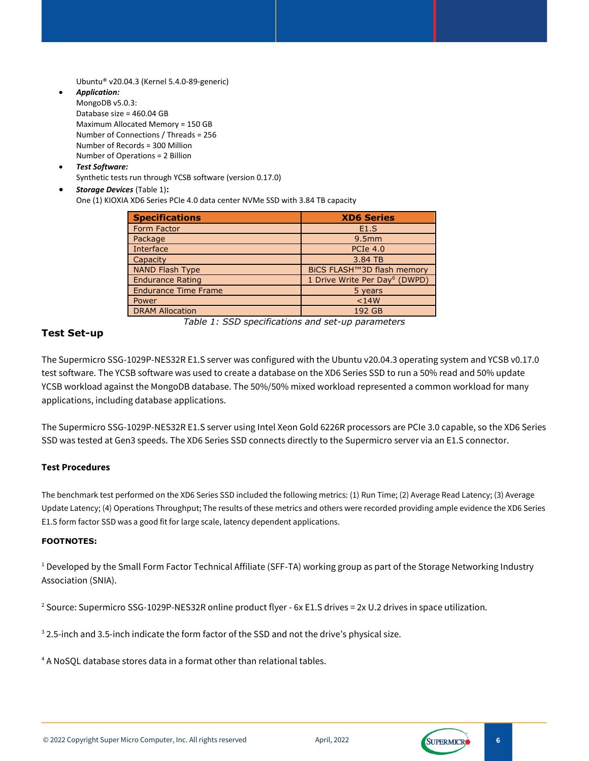Ubuntu® v20.04.3 (Kernel 5.4.0-89-generic)

• *Application:*

MongoDB v5.0.3: Database size = 460.04 GB Maximum Allocated Memory = 150 GB Number of Connections / Threads = 256 Number of Records = 300 Million Number of Operations = 2 Billion

• *Test Software:*

Synthetic tests run through YCSB software (version 0.17.0)

## • *Storage Devices* (Table 1)**:** One (1) KIOXIA XD6 Series PCIe 4.0 data center NVMe SSD with 3.84 TB capacity

| <b>Specifications</b>       | <b>XD6 Series</b>                         |
|-----------------------------|-------------------------------------------|
| Form Factor                 | E1.S                                      |
| Package                     | 9.5mm                                     |
| Interface                   | PCIe 4.0                                  |
| Capacity                    | 3.84 TB                                   |
| <b>NAND Flash Type</b>      | BiCS FLASH™3D flash memory                |
| <b>Endurance Rating</b>     | 1 Drive Write Per Day <sup>6</sup> (DWPD) |
| <b>Endurance Time Frame</b> | 5 years                                   |
| Power                       | < 14W                                     |
| <b>DRAM Allocation</b>      | 192 GB                                    |

*Table 1: SSD specifications and set-up parameters*

# **Test Set-up**

The Supermicro SSG-1029P-NES32R E1.S server was configured with the Ubuntu v20.04.3 operating system and YCSB v0.17.0 test software. The YCSB software was used to create a database on the XD6 Series SSD to run a 50% read and 50% update YCSB workload against the MongoDB database. The 50%/50% mixed workload represented a common workload for many applications, including database applications.

The Supermicro SSG-1029P-NES32R E1.S server using Intel Xeon Gold 6226R processors are PCIe 3.0 capable, so the XD6 Series SSD was tested at Gen3 speeds. The XD6 Series SSD connects directly to the Supermicro server via an E1.S connector.

# **Test Procedures**

The benchmark test performed on the XD6 Series SSD included the following metrics: (1) Run Time; (2) Average Read Latency; (3) Average Update Latency; (4) Operations Throughput; The results of these metrics and others were recorded providing ample evidence the XD6 Series E1.S form factor SSD was a good fit for large scale, latency dependent applications.

#### **FOOTNOTES:**

<sup>1</sup> Developed by the Small Form Factor Technical Affiliate (SFF-TA) working group as part of the Storage Networking Industry Association (SNIA).

<sup>2</sup> Source: Supermicro SSG-1029P-NES32R online product flyer - 6x E1.S drives = 2x U.2 drives in space utilization.

<sup>3</sup> 2.5-inch and 3.5-inch indicate the form factor of the SSD and not the drive's physical size.

<sup>4</sup> A NoSQL database stores data in a format other than relational tables.